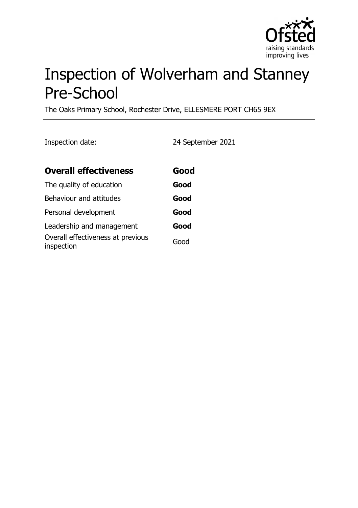

# Inspection of Wolverham and Stanney Pre-School

The Oaks Primary School, Rochester Drive, ELLESMERE PORT CH65 9EX

Inspection date: 24 September 2021

| <b>Overall effectiveness</b>                    | Good |
|-------------------------------------------------|------|
| The quality of education                        | Good |
| Behaviour and attitudes                         | Good |
| Personal development                            | Good |
| Leadership and management                       | Good |
| Overall effectiveness at previous<br>inspection | Good |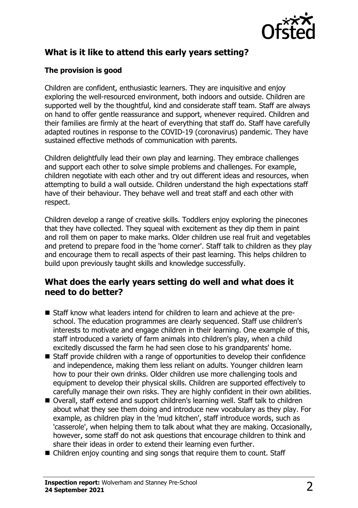

# **What is it like to attend this early years setting?**

### **The provision is good**

Children are confident, enthusiastic learners. They are inquisitive and enjoy exploring the well-resourced environment, both indoors and outside. Children are supported well by the thoughtful, kind and considerate staff team. Staff are always on hand to offer gentle reassurance and support, whenever required. Children and their families are firmly at the heart of everything that staff do. Staff have carefully adapted routines in response to the COVID-19 (coronavirus) pandemic. They have sustained effective methods of communication with parents.

Children delightfully lead their own play and learning. They embrace challenges and support each other to solve simple problems and challenges. For example, children negotiate with each other and try out different ideas and resources, when attempting to build a wall outside. Children understand the high expectations staff have of their behaviour. They behave well and treat staff and each other with respect.

Children develop a range of creative skills. Toddlers enjoy exploring the pinecones that they have collected. They squeal with excitement as they dip them in paint and roll them on paper to make marks. Older children use real fruit and vegetables and pretend to prepare food in the 'home corner'. Staff talk to children as they play and encourage them to recall aspects of their past learning. This helps children to build upon previously taught skills and knowledge successfully.

## **What does the early years setting do well and what does it need to do better?**

- Staff know what leaders intend for children to learn and achieve at the preschool. The education programmes are clearly sequenced. Staff use children's interests to motivate and engage children in their learning. One example of this, staff introduced a variety of farm animals into children's play, when a child excitedly discussed the farm he had seen close to his grandparents' home.
- $\blacksquare$  Staff provide children with a range of opportunities to develop their confidence and independence, making them less reliant on adults. Younger children learn how to pour their own drinks. Older children use more challenging tools and equipment to develop their physical skills. Children are supported effectively to carefully manage their own risks. They are highly confident in their own abilities.
- Overall, staff extend and support children's learning well. Staff talk to children about what they see them doing and introduce new vocabulary as they play. For example, as children play in the 'mud kitchen', staff introduce words, such as 'casserole', when helping them to talk about what they are making. Occasionally, however, some staff do not ask questions that encourage children to think and share their ideas in order to extend their learning even further.
- $\blacksquare$  Children enjoy counting and sing songs that require them to count. Staff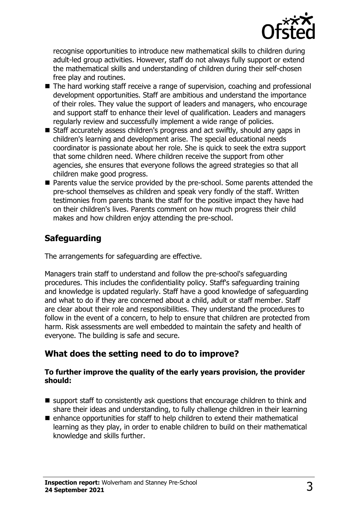

recognise opportunities to introduce new mathematical skills to children during adult-led group activities. However, staff do not always fully support or extend the mathematical skills and understanding of children during their self-chosen free play and routines.

- The hard working staff receive a range of supervision, coaching and professional development opportunities. Staff are ambitious and understand the importance of their roles. They value the support of leaders and managers, who encourage and support staff to enhance their level of qualification. Leaders and managers regularly review and successfully implement a wide range of policies.
- $\blacksquare$  Staff accurately assess children's progress and act swiftly, should any gaps in children's learning and development arise. The special educational needs coordinator is passionate about her role. She is quick to seek the extra support that some children need. Where children receive the support from other agencies, she ensures that everyone follows the agreed strategies so that all children make good progress.
- Parents value the service provided by the pre-school. Some parents attended the pre-school themselves as children and speak very fondly of the staff. Written testimonies from parents thank the staff for the positive impact they have had on their children's lives. Parents comment on how much progress their child makes and how children enjoy attending the pre-school.

## **Safeguarding**

The arrangements for safeguarding are effective.

Managers train staff to understand and follow the pre-school's safeguarding procedures. This includes the confidentiality policy. Staff's safeguarding training and knowledge is updated regularly. Staff have a good knowledge of safeguarding and what to do if they are concerned about a child, adult or staff member. Staff are clear about their role and responsibilities. They understand the procedures to follow in the event of a concern, to help to ensure that children are protected from harm. Risk assessments are well embedded to maintain the safety and health of everyone. The building is safe and secure.

## **What does the setting need to do to improve?**

#### **To further improve the quality of the early years provision, the provider should:**

- $\blacksquare$  support staff to consistently ask questions that encourage children to think and share their ideas and understanding, to fully challenge children in their learning
- $\blacksquare$  enhance opportunities for staff to help children to extend their mathematical learning as they play, in order to enable children to build on their mathematical knowledge and skills further.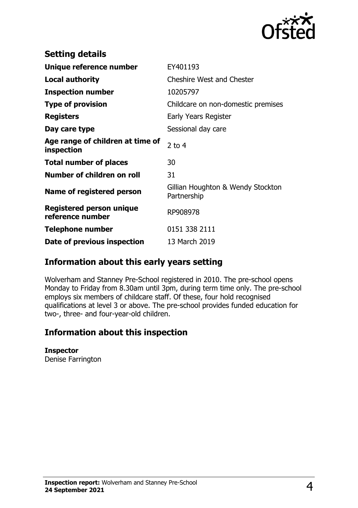

| <b>Setting details</b>                         |                                                  |
|------------------------------------------------|--------------------------------------------------|
| Unique reference number                        | EY401193                                         |
| <b>Local authority</b>                         | <b>Cheshire West and Chester</b>                 |
| <b>Inspection number</b>                       | 10205797                                         |
| <b>Type of provision</b>                       | Childcare on non-domestic premises               |
| <b>Registers</b>                               | Early Years Register                             |
| Day care type                                  | Sessional day care                               |
| Age range of children at time of<br>inspection | 2 to $4$                                         |
| <b>Total number of places</b>                  | 30                                               |
| Number of children on roll                     | 31                                               |
| Name of registered person                      | Gillian Houghton & Wendy Stockton<br>Partnership |
| Registered person unique<br>reference number   | RP908978                                         |
| <b>Telephone number</b>                        | 0151 338 2111                                    |
| Date of previous inspection                    | 13 March 2019                                    |

## **Information about this early years setting**

Wolverham and Stanney Pre-School registered in 2010. The pre-school opens Monday to Friday from 8.30am until 3pm, during term time only. The pre-school employs six members of childcare staff. Of these, four hold recognised qualifications at level 3 or above. The pre-school provides funded education for two-, three- and four-year-old children.

## **Information about this inspection**

#### **Inspector**

Denise Farrington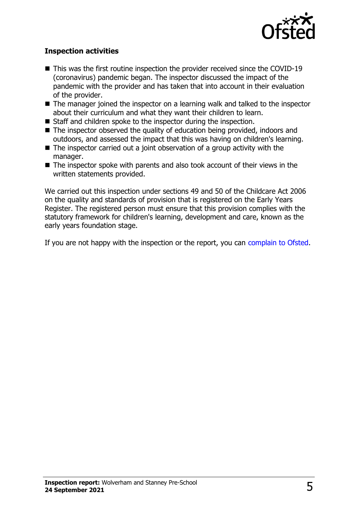

#### **Inspection activities**

- $\blacksquare$  This was the first routine inspection the provider received since the COVID-19 (coronavirus) pandemic began. The inspector discussed the impact of the pandemic with the provider and has taken that into account in their evaluation of the provider.
- $\blacksquare$  The manager joined the inspector on a learning walk and talked to the inspector about their curriculum and what they want their children to learn.
- $\blacksquare$  Staff and children spoke to the inspector during the inspection.
- $\blacksquare$  The inspector observed the quality of education being provided, indoors and outdoors, and assessed the impact that this was having on children's learning.
- $\blacksquare$  The inspector carried out a joint observation of a group activity with the manager.
- $\blacksquare$  The inspector spoke with parents and also took account of their views in the written statements provided.

We carried out this inspection under sections 49 and 50 of the Childcare Act 2006 on the quality and standards of provision that is registered on the Early Years Register. The registered person must ensure that this provision complies with the statutory framework for children's learning, development and care, known as the early years foundation stage.

If you are not happy with the inspection or the report, you can [complain to Ofsted](http://www.gov.uk/complain-ofsted-report).